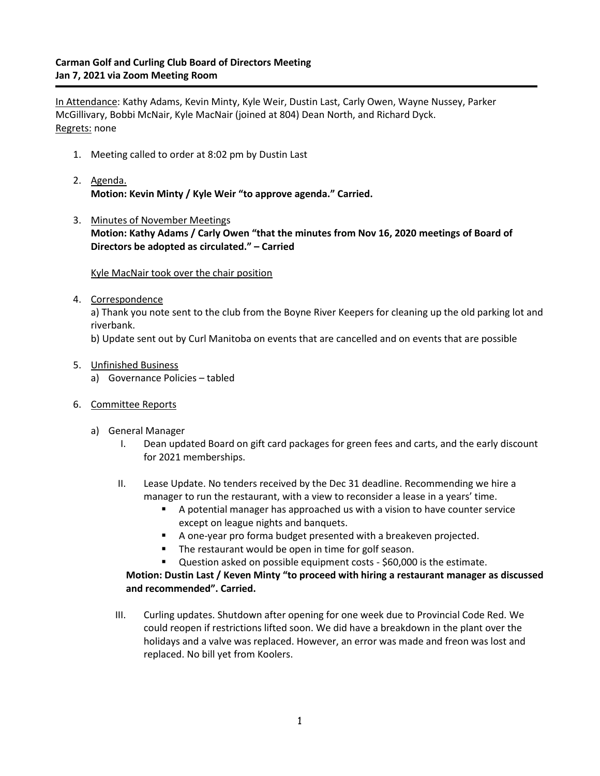## **Carman Golf and Curling Club Board of Directors Meeting Jan 7, 2021 via Zoom Meeting Room**

In Attendance: Kathy Adams, Kevin Minty, Kyle Weir, Dustin Last, Carly Owen, Wayne Nussey, Parker McGillivary, Bobbi McNair, Kyle MacNair (joined at 804) Dean North, and Richard Dyck. Regrets: none

- 1. Meeting called to order at 8:02 pm by Dustin Last
- 2. Agenda. **Motion: Kevin Minty / Kyle Weir "to approve agenda." Carried.**
- 3. Minutes of November Meetings **Motion: Kathy Adams / Carly Owen "that the minutes from Nov 16, 2020 meetings of Board of Directors be adopted as circulated." – Carried**

Kyle MacNair took over the chair position

4. Correspondence

a) Thank you note sent to the club from the Boyne River Keepers for cleaning up the old parking lot and riverbank.

b) Update sent out by Curl Manitoba on events that are cancelled and on events that are possible

- 5. Unfinished Business
	- a) Governance Policies tabled
- 6. Committee Reports
	- a) General Manager
		- I. Dean updated Board on gift card packages for green fees and carts, and the early discount for 2021 memberships.
		- II. Lease Update. No tenders received by the Dec 31 deadline. Recommending we hire a manager to run the restaurant, with a view to reconsider a lease in a years' time.
			- A potential manager has approached us with a vision to have counter service except on league nights and banquets.
			- A one-year pro forma budget presented with a breakeven projected.
			- The restaurant would be open in time for golf season.
			- Question asked on possible equipment costs \$60,000 is the estimate.

## **Motion: Dustin Last / Keven Minty "to proceed with hiring a restaurant manager as discussed and recommended". Carried.**

III. Curling updates. Shutdown after opening for one week due to Provincial Code Red. We could reopen if restrictions lifted soon. We did have a breakdown in the plant over the holidays and a valve was replaced. However, an error was made and freon was lost and replaced. No bill yet from Koolers.